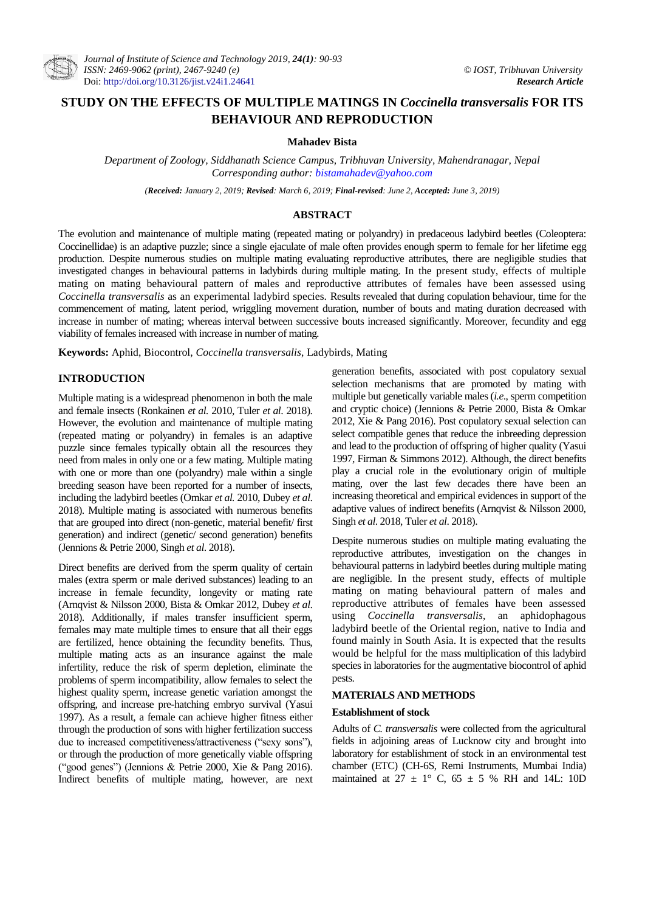# **STUDY ON THE EFFECTS OF MULTIPLE MATINGS IN** *Coccinella transversalis* **FOR ITS BEHAVIOUR AND REPRODUCTION**

# **Mahadev Bista**

*Department of Zoology, Siddhanath Science Campus, Tribhuvan University, Mahendranagar, Nepal Corresponding author: [bistamahadev@yahoo.com](mailto:bistamahadev@yahoo.com)*

*(Received: January 2, 2019; Revised: March 6, 2019; Final-revised: June 2, Accepted: June 3, 2019)*

# **ABSTRACT**

The evolution and maintenance of multiple mating (repeated mating or polyandry) in predaceous ladybird beetles (Coleoptera: Coccinellidae) is an adaptive puzzle; since a single ejaculate of male often provides enough sperm to female for her lifetime egg production. Despite numerous studies on multiple mating evaluating reproductive attributes, there are negligible studies that investigated changes in behavioural patterns in ladybirds during multiple mating. In the present study, effects of multiple mating on mating behavioural pattern of males and reproductive attributes of females have been assessed using *Coccinella transversalis* as an experimental ladybird species. Results revealed that during copulation behaviour, time for the commencement of mating, latent period, wriggling movement duration, number of bouts and mating duration decreased with increase in number of mating; whereas interval between successive bouts increased significantly. Moreover, fecundity and egg viability of females increased with increase in number of mating*.*

**Keywords:** Aphid, Biocontrol, *Coccinella transversalis*, Ladybirds, Mating

# **INTRODUCTION**

Multiple mating is a widespread phenomenon in both the male and female insects (Ronkainen *et al.* 2010, Tuler *et al*. 2018). However, the evolution and maintenance of multiple mating (repeated mating or polyandry) in females is an adaptive puzzle since females typically obtain all the resources they need from males in only one or a few mating. Multiple mating with one or more than one (polyandry) male within a single breeding season have been reported for a number of insects, including the ladybird beetles (Omkar *et al.* 2010, Dubey *et al*. 2018). Multiple mating is associated with numerous benefits that are grouped into direct (non-genetic, material benefit/ first generation) and indirect (genetic/ second generation) benefits (Jennions & Petrie 2000, Singh *et al*. 2018).

Direct benefits are derived from the sperm quality of certain males (extra sperm or male derived substances) leading to an increase in female fecundity, longevity or mating rate (Arnqvist & Nilsson 2000, Bista & Omkar 2012, Dubey *et al*. 2018). Additionally, if males transfer insufficient sperm, females may mate multiple times to ensure that all their eggs are fertilized, hence obtaining the fecundity benefits. Thus, multiple mating acts as an insurance against the male infertility, reduce the risk of sperm depletion, eliminate the problems of sperm incompatibility, allow females to select the highest quality sperm, increase genetic variation amongst the offspring, and increase pre-hatching embryo survival (Yasui 1997). As a result, a female can achieve higher fitness either through the production of sons with higher fertilization success due to increased competitiveness/attractiveness ("sexy sons"), or through the production of more genetically viable offspring ("good genes") (Jennions & Petrie 2000, Xie & Pang 2016). Indirect benefits of multiple mating, however, are next

generation benefits, associated with post copulatory sexual selection mechanisms that are promoted by mating with multiple but genetically variable males (*i.e*., sperm competition and cryptic choice) (Jennions & Petrie 2000, Bista & Omkar 2012, Xie & Pang 2016). Post copulatory sexual selection can select compatible genes that reduce the inbreeding depression and lead to the production of offspring of higher quality (Yasui 1997, Firman & Simmons 2012). Although, the direct benefits play a crucial role in the evolutionary origin of multiple mating, over the last few decades there have been an increasing theoretical and empirical evidences in support of the adaptive values of indirect benefits (Arnqvist & Nilsson 2000, Singh *et al*. 2018, Tuler *et al*. 2018).

Despite numerous studies on multiple mating evaluating the reproductive attributes, investigation on the changes in behavioural patterns in ladybird beetles during multiple mating are negligible. In the present study, effects of multiple mating on mating behavioural pattern of males and reproductive attributes of females have been assessed using *Coccinella transversalis*, an aphidophagous ladybird beetle of the Oriental region, native to India and found mainly in South Asia. It is expected that the results would be helpful for the mass multiplication of this ladybird species in laboratories for the augmentative biocontrol of aphid pests.

### **MATERIALS AND METHODS**

#### **Establishment of stock**

Adults of *C. transversalis* were collected from the agricultural fields in adjoining areas of Lucknow city and brought into laboratory for establishment of stock in an environmental test chamber (ETC) (CH-6S, Remi Instruments, Mumbai India) maintained at  $27 \pm 1^{\circ}$  C,  $65 \pm 5$  % RH and 14L: 10D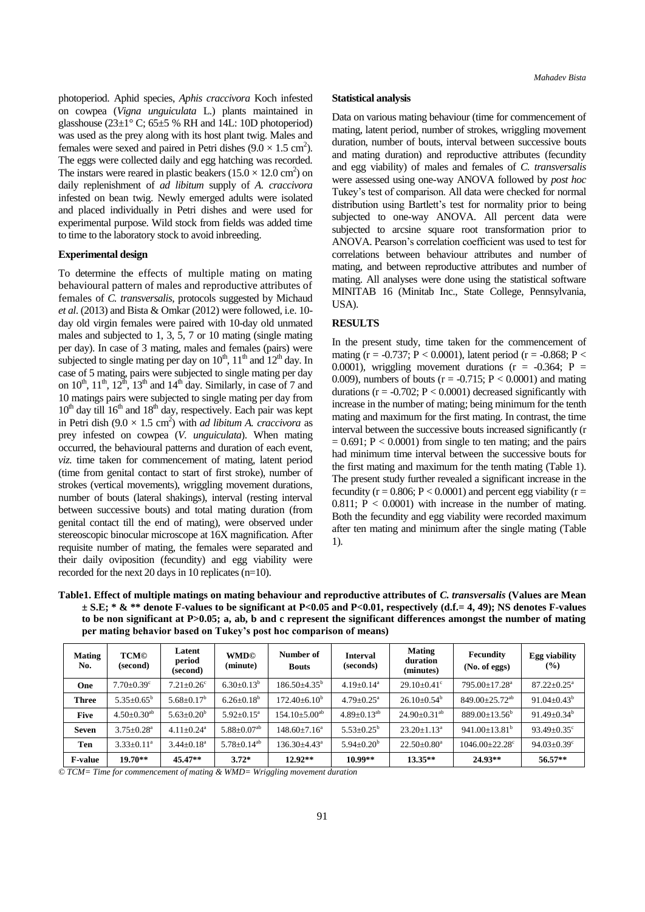photoperiod. Aphid species, *Aphis craccivora* Koch infested on cowpea (*Vigna unguiculata* L.) plants maintained in glasshouse  $(23\pm1^{\circ} \text{C}; 65\pm5 \text{ % RH}$  and 14L: 10D photoperiod) was used as the prey along with its host plant twig. Males and females were sexed and paired in Petri dishes  $(9.0 \times 1.5 \text{ cm}^2)$ . The eggs were collected daily and egg hatching was recorded. The instars were reared in plastic beakers  $(15.0 \times 12.0 \text{ cm}^2)$  on daily replenishment of *ad libitum* supply of *A. craccivora*  infested on bean twig. Newly emerged adults were isolated and placed individually in Petri dishes and were used for experimental purpose. Wild stock from fields was added time to time to the laboratory stock to avoid inbreeding.

## **Experimental design**

To determine the effects of multiple mating on mating behavioural pattern of males and reproductive attributes of females of *C. transversalis*, protocols suggested by Michaud *et al*. (2013) and Bista & Omkar (2012) were followed*,* i.e. 10 day old virgin females were paired with 10-day old unmated males and subjected to 1, 3, 5, 7 or 10 mating (single mating per day). In case of 3 mating, males and females (pairs) were subjected to single mating per day on  $10^{th}$ ,  $11^{th}$  and  $12^{th}$  day. In case of 5 mating, pairs were subjected to single mating per day on  $10^{th}$ ,  $11^{th}$ ,  $12^{th}$ ,  $13^{th}$  and  $14^{th}$  day. Similarly, in case of 7 and 10 matings pairs were subjected to single mating per day from  $10<sup>th</sup>$  day till  $16<sup>th</sup>$  and  $18<sup>th</sup>$  day, respectively. Each pair was kept in Petri dish  $(9.0 \times 1.5 \text{ cm}^2)$  with *ad libitum A. craccivora* as prey infested on cowpea (*V. unguiculata*). When mating occurred, the behavioural patterns and duration of each event, *viz*. time taken for commencement of mating, latent period (time from genital contact to start of first stroke), number of strokes (vertical movements), wriggling movement durations, number of bouts (lateral shakings), interval (resting interval between successive bouts) and total mating duration (from genital contact till the end of mating), were observed under stereoscopic binocular microscope at 16X magnification. After requisite number of mating, the females were separated and their daily oviposition (fecundity) and egg viability were recorded for the next 20 days in 10 replicates (n=10).

#### **Statistical analysis**

Data on various mating behaviour (time for commencement of mating, latent period, number of strokes, wriggling movement duration, number of bouts, interval between successive bouts and mating duration) and reproductive attributes (fecundity and egg viability) of males and females of *C. transversalis* were assessed using one-way ANOVA followed by *post hoc* Tukey's test of comparison. All data were checked for normal distribution using Bartlett's test for normality prior to being subjected to one-way ANOVA. All percent data were subjected to arcsine square root transformation prior to ANOVA. Pearson's correlation coefficient was used to test for correlations between behaviour attributes and number of mating, and between reproductive attributes and number of mating. All analyses were done using the statistical software MINITAB 16 (Minitab Inc., State College, Pennsylvania, USA).

# **RESULTS**

In the present study, time taken for the commencement of mating (r = -0.737; P < 0.0001), latent period (r = -0.868; P < 0.0001), wriggling movement durations  $(r = -0.364; P =$ 0.009), numbers of bouts ( $r = -0.715$ ;  $P < 0.0001$ ) and mating durations ( $r = -0.702$ ;  $P < 0.0001$ ) decreased significantly with increase in the number of mating; being minimum for the tenth mating and maximum for the first mating. In contrast, the time interval between the successive bouts increased significantly (r  $= 0.691$ ; P < 0.0001) from single to ten mating; and the pairs had minimum time interval between the successive bouts for the first mating and maximum for the tenth mating (Table 1). The present study further revealed a significant increase in the fecundity ( $r = 0.806$ ;  $P < 0.0001$ ) and percent egg viability ( $r =$ 0.811;  $P < 0.0001$ ) with increase in the number of mating. Both the fecundity and egg viability were recorded maximum after ten mating and minimum after the single mating (Table 1).

**Table1. Effect of multiple matings on mating behaviour and reproductive attributes of** *C. transversalis* **(Values are Mean ± S.E; \* & \*\* denote F-values to be significant at P<0.05 and P<0.01, respectively (d.f.= 4, 49); NS denotes F-values to be non significant at P>0.05; a, ab, b and c represent the significant differences amongst the number of mating per mating behavior based on Tukey's post hoc comparison of means)**

| <b>Mating</b><br>No. | <b>TCM</b> <sup>©</sup><br>(second) | Latent<br>period<br>(second) | <b>WMD©</b><br>(minute)     | Number of<br><b>Bouts</b>      | <b>Interval</b><br>(seconds) | <b>Mating</b><br>duration<br>(minutes) | <b>Fecundity</b><br>(No. of eggs) | <b>Egg viability</b><br>(%)   |
|----------------------|-------------------------------------|------------------------------|-----------------------------|--------------------------------|------------------------------|----------------------------------------|-----------------------------------|-------------------------------|
| One                  | $7.70 + 0.39^c$                     | $7.21 + 0.26^c$              | $6.30+0.13^b$               | $186.50 + 4.35^b$              | $4.19+0.14^a$                | $29.10+0.41^{\circ}$                   | $795.00 + 17.28$ <sup>a</sup>     | $87.22 + 0.25^{\circ}$        |
| <b>Three</b>         | $5.35 \pm 0.65^{\circ}$             | $5.68 \pm 0.17^b$            | $6.26 \pm 0.18^b$           | $172.40\pm6.10^b$              | $4.79 + 0.25^a$              | $26.10 + 0.54^b$                       | $849.00 \pm 25.72$ <sup>ab</sup>  | $91.04 + 0.43^b$              |
| <b>Five</b>          | $4.50 \pm 0.30$ <sup>ab</sup>       | $5.63 \pm 0.20^b$            | $5.92 \pm 0.15^a$           | $154.10 + 5.00^{ab}$           | $4.89 \pm 0.13^{ab}$         | $24.90 \pm 0.31^{ab}$                  | $889.00+13.56^b$                  | $91.49 + 0.34^b$              |
| <b>Seven</b>         | $3.75 \pm 0.28$ <sup>a</sup>        | $4.11 \pm 0.24$ <sup>a</sup> | $5.88 + 0.07$ <sup>ab</sup> | $148.60 \pm 7.16^{\circ}$      | $5.53+0.25^b$                | $23.20 + 1.13^a$                       | $941.00+13.81b$                   | $93.49 + 0.35$ °              |
| Ten                  | $3.33 \pm 0.11$ <sup>a</sup>        | $3.44 \pm 0.18$ <sup>a</sup> | $5.78 \pm 0.14^{ab}$        | $136.30 \pm 4.43$ <sup>a</sup> | $5.94 + 0.20^b$              | $22.50 \pm 0.80^a$                     | $1046.00 + 22.28^{\circ}$         | $94.03 \pm 0.39$ <sup>c</sup> |
| <b>F-value</b>       | $19.70**$                           | $45.47**$                    | $3.72*$                     | $12.92**$                      | $10.99**$                    | $13.35**$                              | $24.93**$                         | $56.57**$                     |

*© TCM= Time for commencement of mating & WMD= Wriggling movement duration*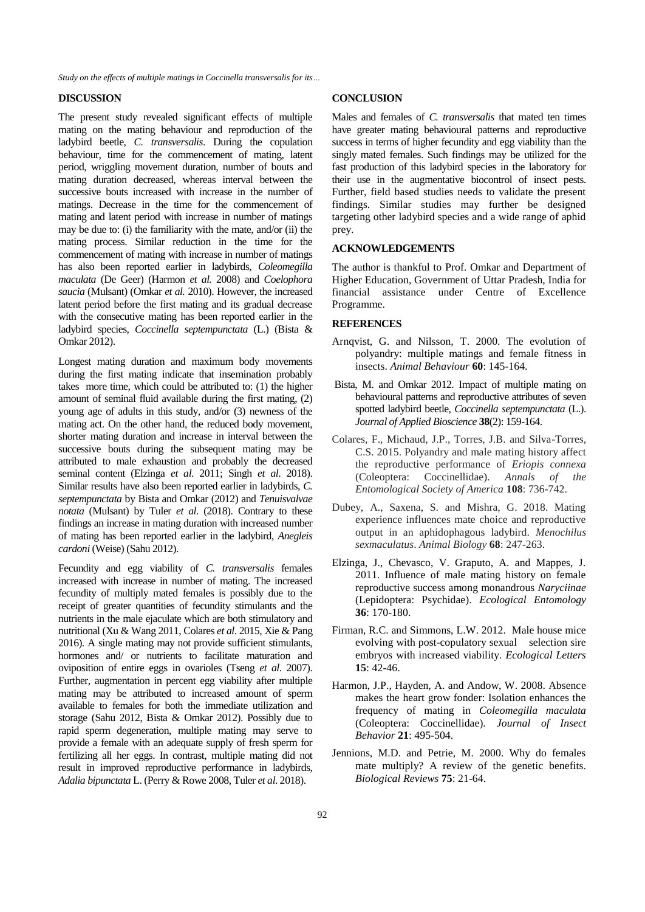*Study on the effects of multiple matings in Coccinella transversalis for its…*

### **DISCUSSION**

The present study revealed significant effects of multiple mating on the mating behaviour and reproduction of the ladybird beetle, *C. transversalis*. During the copulation behaviour, time for the commencement of mating, latent period, wriggling movement duration, number of bouts and mating duration decreased, whereas interval between the successive bouts increased with increase in the number of matings. Decrease in the time for the commencement of mating and latent period with increase in number of matings may be due to: (i) the familiarity with the mate, and/or (ii) the mating process. Similar reduction in the time for the commencement of mating with increase in number of matings has also been reported earlier in ladybirds, *Coleomegilla maculata* (De Geer) (Harmon *et al.* 2008) and *Coelophora saucia* (Mulsant) (Omkar *et al.* 2010). However, the increased latent period before the first mating and its gradual decrease with the consecutive mating has been reported earlier in the ladybird species, *Coccinella septempunctata* (L.) (Bista & Omkar 2012).

Longest mating duration and maximum body movements during the first mating indicate that insemination probably takes more time, which could be attributed to: (1) the higher amount of seminal fluid available during the first mating, (2) young age of adults in this study, and/or (3) newness of the mating act. On the other hand, the reduced body movement, shorter mating duration and increase in interval between the successive bouts during the subsequent mating may be attributed to male exhaustion and probably the decreased seminal content (Elzinga *et al*. 2011; Singh *et al*. 2018). Similar results have also been reported earlier in ladybirds, *C. septempunctata* by Bista and Omkar (2012) and *Tenuisvalvae notata* (Mulsant) by Tuler *et al*. (2018). Contrary to these findings an increase in mating duration with increased number of mating has been reported earlier in the ladybird, *Anegleis cardoni* (Weise) (Sahu 2012).

Fecundity and egg viability of *C. transversalis* females increased with increase in number of mating. The increased fecundity of multiply mated females is possibly due to the receipt of greater quantities of fecundity stimulants and the nutrients in the male ejaculate which are both stimulatory and nutritional (Xu & Wang 2011, Colares *et al*. 2015, Xie & Pang 2016). A single mating may not provide sufficient stimulants, hormones and/ or nutrients to facilitate maturation and oviposition of entire eggs in ovarioles (Tseng *et al*. 2007). Further, augmentation in percent egg viability after multiple mating may be attributed to increased amount of sperm available to females for both the immediate utilization and storage (Sahu 2012, Bista & Omkar 2012). Possibly due to rapid sperm degeneration, multiple mating may serve to provide a female with an adequate supply of fresh sperm for fertilizing all her eggs. In contrast, multiple mating did not result in improved reproductive performance in ladybirds, *Adalia bipunctata* L. (Perry & Rowe 2008, Tuler *et al*. 2018).

#### **CONCLUSION**

Males and females of *C. transversalis* that mated ten times have greater mating behavioural patterns and reproductive success in terms of higher fecundity and egg viability than the singly mated females. Such findings may be utilized for the fast production of this ladybird species in the laboratory for their use in the augmentative biocontrol of insect pests. Further, field based studies needs to validate the present findings. Similar studies may further be designed targeting other ladybird species and a wide range of aphid prey.

### **ACKNOWLEDGEMENTS**

The author is thankful to Prof. Omkar and Department of Higher Education, Government of Uttar Pradesh, India for financial assistance under Centre of Excellence Programme.

### **REFERENCES**

- Arnqvist*,* G. and Nilsson*,* T. 2000. The evolution of polyandry: multiple matings and female fitness in insects. *Animal Behaviour* **60**: 145-164.
- Bista, M. and Omkar 2012. Impact of multiple mating on behavioural patterns and reproductive attributes of seven spotted ladybird beetle, *Coccinella septempunctata* (L.). *Journal of Applied Bioscience* **38**(2): 159-164.
- Colares, F., Michaud, J.P., Torres, J.B. and Silva-Torres, C.S. 2015. Polyandry and male mating history affect the reproductive performance of *Eriopis connexa* (Coleoptera: Coccinellidae). *Annals of the Entomological Society of America* **108**: 736-742.
- Dubey, A., Saxena, S. and Mishra, G. 2018. Mating experience influences mate choice and reproductive output in an aphidophagous ladybird. *Menochilus sexmaculatus*. *Animal Biology* **68**: 247-263.
- Elzinga, J., Chevasco, V. Graputo, A. and Mappes, J. 2011. Influence of male mating history on female reproductive success among monandrous *Naryciinae*  (Lepidoptera: Psychidae). *Ecological Entomology* **36**: 170-180.
- Firman, R.C. and Simmons, L.W. 2012. Male house mice evolving with post-copulatory sexual selection sire embryos with increased viability. *Ecological Letters*  **15**: 42-46.
- Harmon, J.P., Hayden, A. and Andow, W. 2008. Absence makes the heart grow fonder: Isolation enhances the frequency of mating in *Coleomegilla maculata*  (Coleoptera: Coccinellidae). *Journal of Insect Behavior* **21**: 495-504.
- Jennions, M.D. and Petrie, M. 2000. Why do females mate multiply? A review of the genetic benefits. *Biological Reviews* **75**: 21-64.